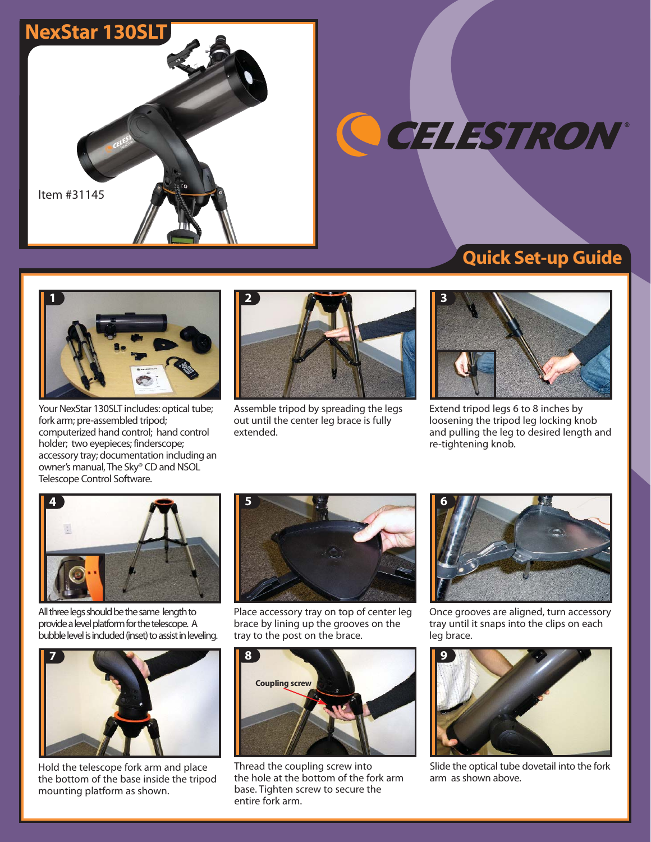

OCELESTRON®

### Quick Set-up Guide



Your NexStar 130SLT includes: optical tube; fork arm; pre-assembled tripod; computerized hand control; hand control holder; two eyepieces; finderscope; accessory tray; documentation including an owner's manual, The Sky® CD and NSOL Telescope Control Software.



Assemble tripod by spreading the legs out until the center leg brace is fully extended.



Extend tripod legs 6 to 8 inches by loosening the tripod leg locking knob and pulling the leg to desired length and re-tightening knob.



All three legs should be the same length to provide a level platform for the telescope. A bubble level is included (inset) to assist in leveling.



Hold the telescope fork arm and place the bottom of the base inside the tripod mounting platform as shown.



Place accessory tray on top of center leg brace by lining up the grooves on the tray to the post on the brace.



Thread the coupling screw into the hole at the bottom of the fork arm base. Tighten screw to secure the entire fork arm.



Once grooves are aligned, turn accessory tray until it snaps into the clips on each leg brace.



Slide the optical tube dovetail into the fork arm as shown above.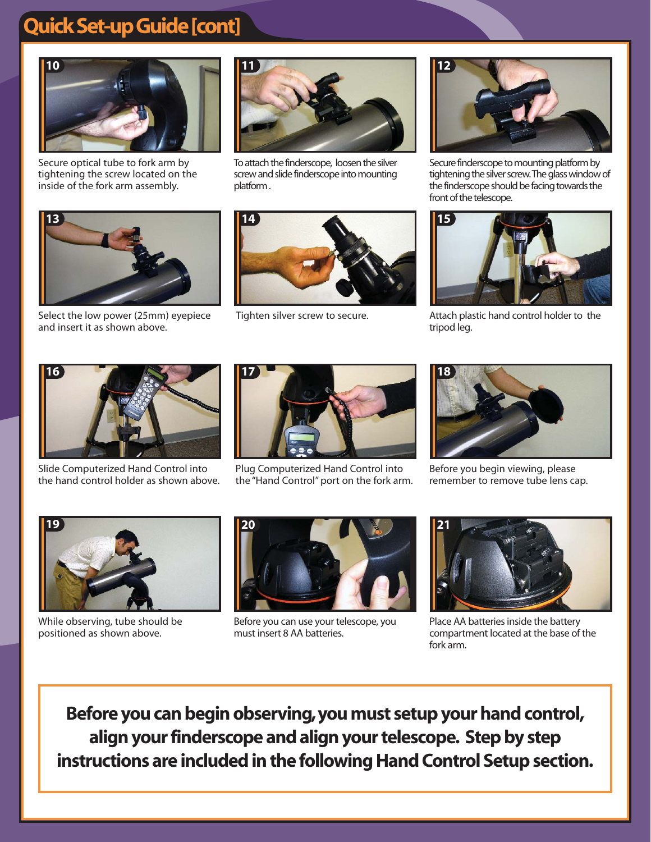# Quick Set-up Guide [cont]



Secure optical tube to fork arm by tightening the screw located on the inside of the fork arm assembly.



To attach the finderscope, loosen the silver screw and slide finderscope into mounting platform .



Secure finderscope to mounting platform by tightening the silver screw. The glass window of the finderscope should be facing towards the front of the telescope.



Attach plastic hand control holder to the tripod leg.



Select the low power (25mm) eyepiece and insert it as shown above.



Tighten silver screw to secure.



Slide Computerized Hand Control into the hand control holder as shown above.



Plug Computerized Hand Control into the "Hand Control" port on the fork arm.



Before you begin viewing, please remember to remove tube lens cap.



While observing, tube should be positioned as shown above.



Before you can use your telescope, you must insert 8 AA batteries.



Place AA batteries inside the battery compartment located at the base of the fork arm.

Before you can begin observing,you must setup your hand control, align your finderscope and align your telescope. Step by step instructions are included in the following Hand Control Setup section.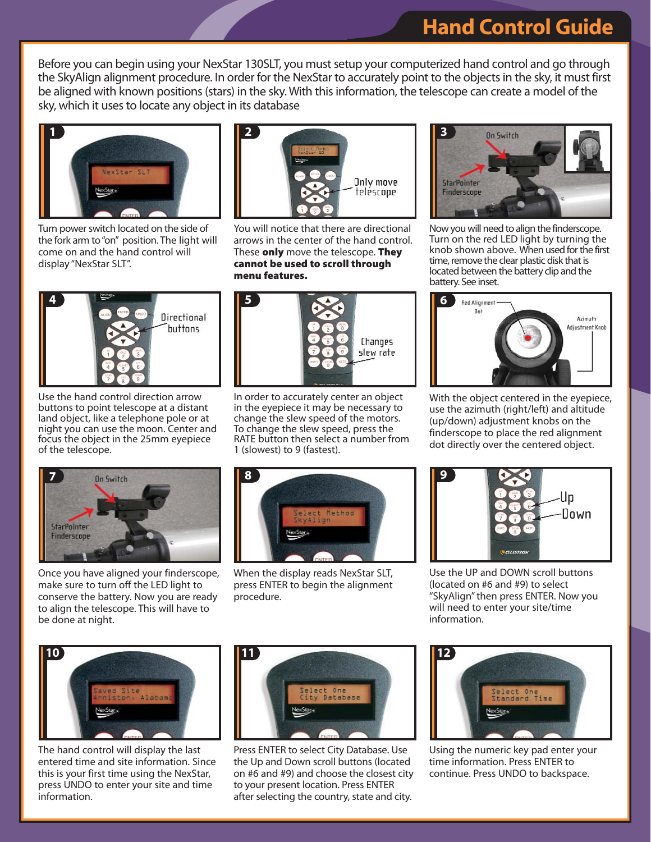### Hand Control Guide

Before you can begin using your NexStar 130SLT, you must setup your computerized hand control and go through the SkyAlign alignment procedure. In order for the NexStar to accurately point to the objects in the sky, it must first be aligned with known positions (stars) in the sky. With this information, the telescope can create a model of the sky, which it uses to locate any object in its database



Turn power switch located on the side of the fork arm to "on" position. The light will come on and the hand control will display "NexStar SLT".



Use the hand control direction arrow buttons to point telescope at a distant land object, like a telephone pole or at night you can use the moon. Center and focus the object in the 25mm eyepiece of the telescope.



You will notice that there are directional arrows in the center of the hand control. These only move the telescope. They cannot be used to scroll through menu features.



In order to accurately center an object in the eyepiece it may be necessary to change the slew speed of the motors. To change the slew speed, press the RATE button then select a number from 1 (slowest) to 9 (fastest).



Now you will need to align the finderscope. Turn on the red LED light by turning the knob shown above. When used for the first time, remove the clear plastic disk that is located between the battery clip and the battery. See inset.



With the object centered in the eyepiece, use the azimuth (right/left) and altitude (up/down) adjustment knobs on the finderscope to place the red alignment dot directly over the centered object.



Once you have aligned your finderscope, make sure to turn off the LED light to conserve the battery. Now you are ready to align the telescope. This will have to be done at night.



When the display reads NexStar SLT, press ENTER to begin the alignment procedure.



Use the UP and DOWN scroll buttons (located on #6 and #9) to select "SkyAlign" then press ENTER. Now you will need to enter your site/time information.



The hand control will display the last entered time and site information. Since this is your first time using the NexStar, press UNDO to enter your site and time information.



Press ENTER to select City Database. Use the Up and Down scroll buttons (located on #6 and #9) and choose the closest city to your present location. Press ENTER after selecting the country, state and city.



Using the numeric key pad enter your time information. Press ENTER to continue. Press UNDO to backspace.